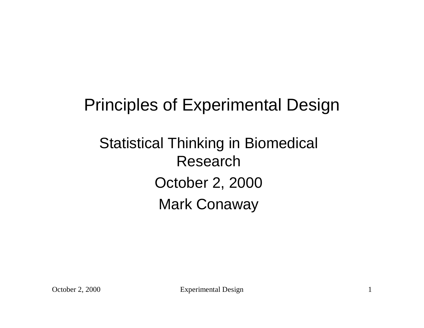## Principles of Experimental Design

## Statistical Thinking in Biomedical Research October 2, 2000 Mark Conaway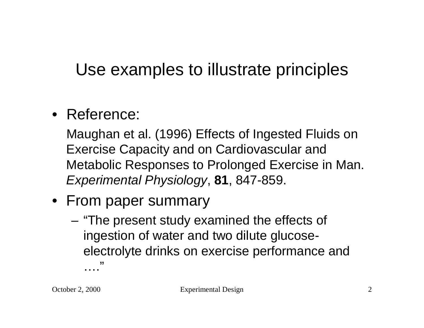# Use examples to illustrate principles

#### • Reference:

Maughan et al. (1996) Effects of Ingested Fluids on Exercise Capacity and on Cardiovascular and Metabolic Responses to Prolonged Exercise in Man. *Experimental Physiology*, **81**, 847-859.

- From paper summary
	- "The present study examined the effects of ingestion of water and two dilute glucoseelectrolyte drinks on exercise performance and …<br>……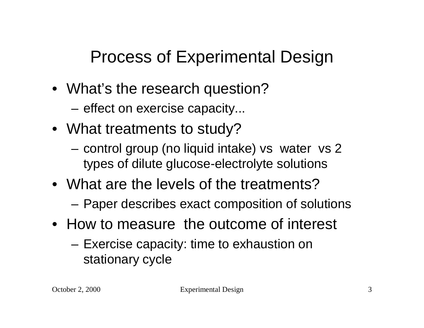# Process of Experimental Design

- What's the research question?
	- effect on exercise capacity...
- What treatments to study?
	- control group (no liquid intake) vs water vs 2 types of dilute glucose-electrolyte solutions
- What are the levels of the treatments?
	- Paper describes exact composition of solutions
- How to measure the outcome of interest
	- Exercise capacity: time to exhaustion on stationary cycle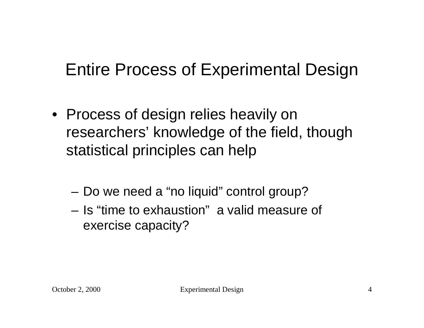# Entire Process of Experimental Design

- Process of design relies heavily on researchers' knowledge of the field, though statistical principles can help
	- Do we need a "no liquid" control group?
	- Is "time to exhaustion" a valid measure of exercise capacity?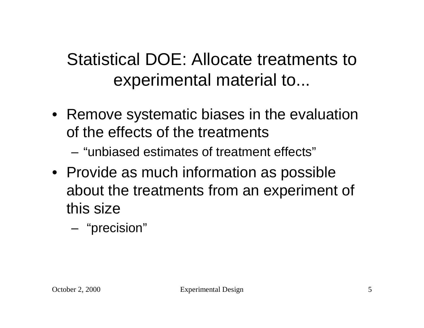# Statistical DOE: Allocate treatments to experimental material to...

- Remove systematic biases in the evaluation of the effects of the treatments
	- "unbiased estimates of treatment effects"
- Provide as much information as possible about the treatments from an experiment of this size
	- "precision"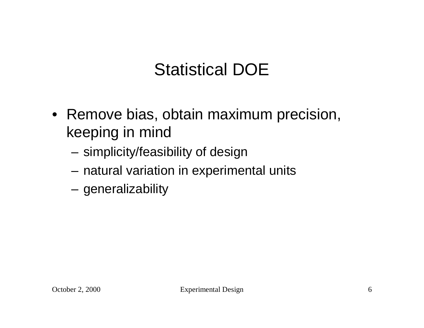# Statistical DOE

- Remove bias, obtain maximum precision, keeping in mind
	- simplicity/feasibility of design
	- natural variation in experimental units
	- generalizability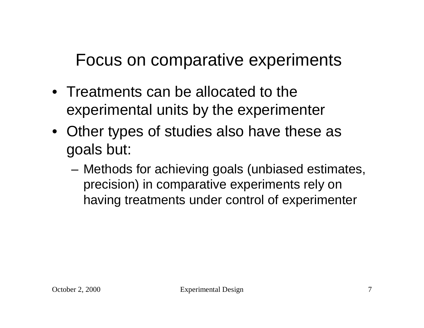Focus on comparative experiments

- Treatments can be allocated to the experimental units by the experimenter
- Other types of studies also have these as goals but:
	- Methods for achieving goals (unbiased estimates, precision) in comparative experiments rely on having treatments under control of experimenter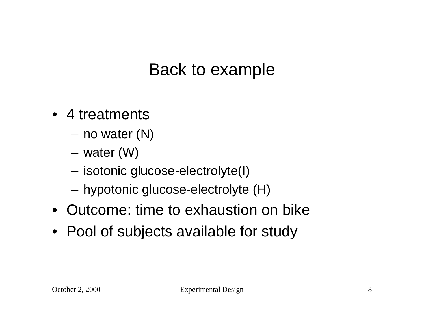#### Back to example

- 4 treatments
	- no water (N)
	- water (W)
	- isotonic glucose-electrolyte(I)
	- hypotonic glucose-electrolyte (H)
- Outcome: time to exhaustion on bike
- Pool of subjects available for study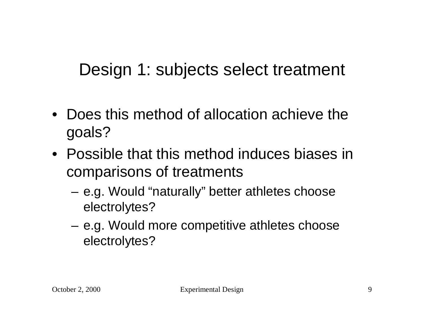## Design 1: subjects select treatment

- Does this method of allocation achieve the goals?
- Possible that this method induces biases in comparisons of treatments
	- e.g. Would "naturally" better athletes choose electrolytes?
	- e.g. Would more competitive athletes choose electrolytes?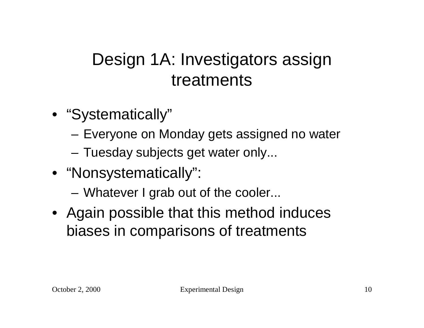## Design 1A: Investigators assign treatments

- "Systematically"
	- Everyone on Monday gets assigned no water
	- Tuesday subjects get water only...
- "Nonsystematically":
	- Whatever I grab out of the cooler...
- Again possible that this method induces biases in comparisons of treatments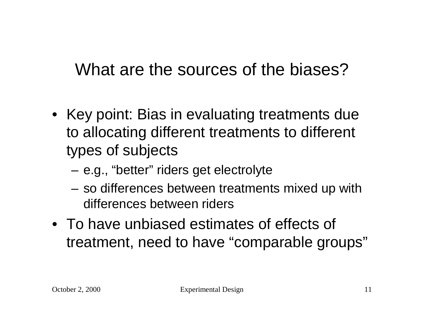#### What are the sources of the biases?

- Key point: Bias in evaluating treatments due to allocating different treatments to different types of subjects
	- e.g., "better" riders get electrolyte
	- so differences between treatments mixed up with differences between riders
- To have unbiased estimates of effects of treatment, need to have "comparable groups"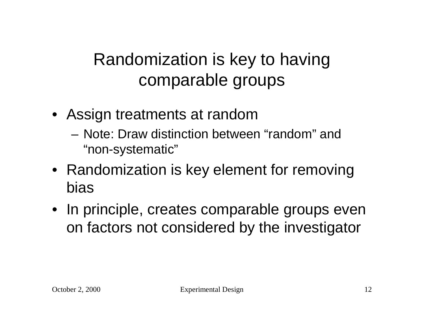# Randomization is key to having comparable groups

- Assign treatments at random
	- Note: Draw distinction between "random" and "non-systematic"
- Randomization is key element for removing bias
- In principle, creates comparable groups even on factors not considered by the investigator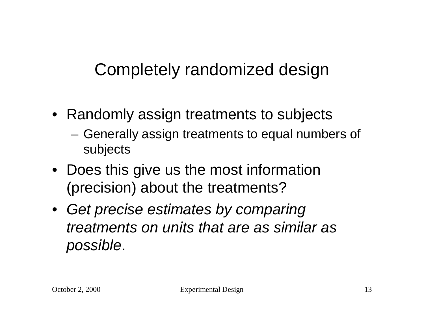## Completely randomized design

- Randomly assign treatments to subjects
	- Generally assign treatments to equal numbers of subjects
- Does this give us the most information (precision) about the treatments?
- *Get precise estimates by comparing treatments on units that are as similar as possible*.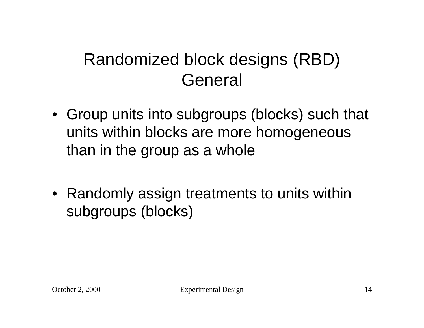## Randomized block designs (RBD) General

- Group units into subgroups (blocks) such that units within blocks are more homogeneous than in the group as a whole
- Randomly assign treatments to units within subgroups (blocks)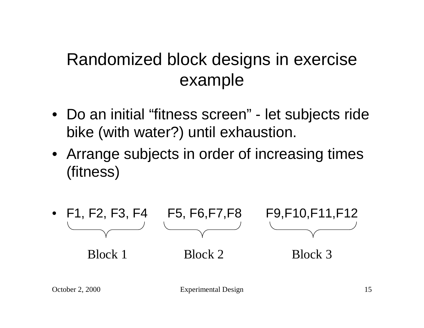### Randomized block designs in exercise example

- Do an initial "fitness screen" let subjects ride bike (with water?) until exhaustion.
- Arrange subjects in order of increasing times (fitness)



October 2, 2000 Experimental Design 15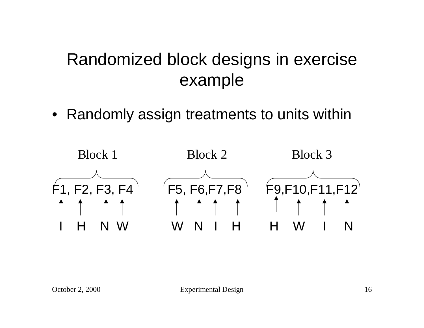#### Randomized block designs in exercise example

• Randomly assign treatments to units within

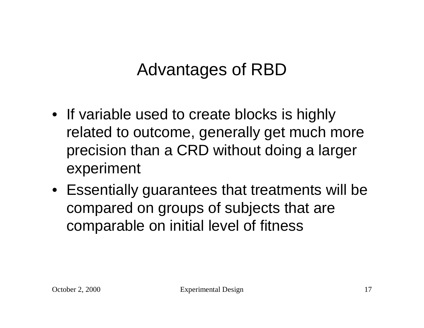## Advantages of RBD

- If variable used to create blocks is highly related to outcome, generally get much more precision than a CRD without doing a larger experiment
- Essentially guarantees that treatments will be compared on groups of subjects that are comparable on initial level of fitness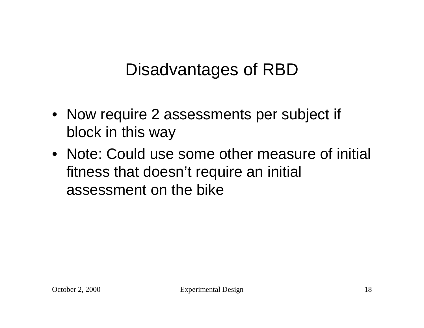### Disadvantages of RBD

- Now require 2 assessments per subject if block in this way
- Note: Could use some other measure of initial fitness that doesn't require an initial assessment on the bike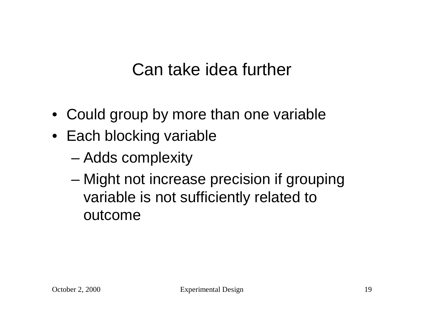## Can take idea further

- Could group by more than one variable
- Each blocking variable
	- Adds complexity
	- Might not increase precision if grouping variable is not sufficiently related to outcome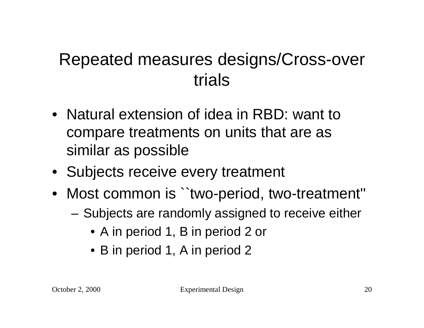### Repeated measures designs/Cross-over trials

- Natural extension of idea in RBD: want to compare treatments on units that are as similar as possible
- Subjects receive every treatment
- Most common is ``two-period, two-treatment''
	- Subjects are randomly assigned to receive either
		- A in period 1, B in period 2 or
		- B in period 1, A in period 2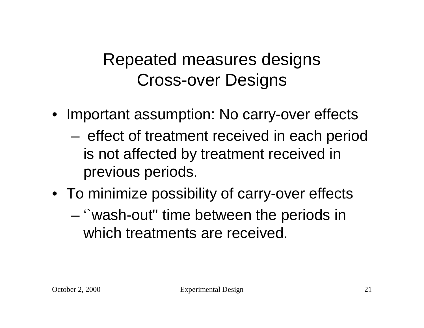#### Repeated measures designs Cross-over Designs

- Important assumption: No carry-over effects
	- effect of treatment received in each period is not affected by treatment received in previous periods.
- To minimize possibility of carry-over effects
	- '`wash-out'' time between the periods in which treatments are received.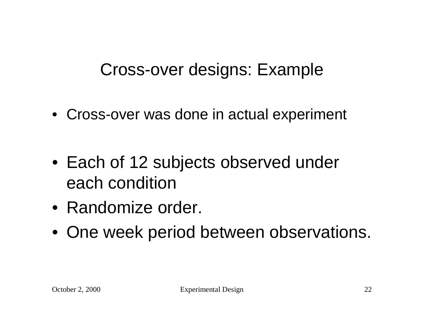## Cross-over designs: Example

- Cross-over was done in actual experiment
- Each of 12 subjects observed under each condition
- Randomize order.
- One week period between observations.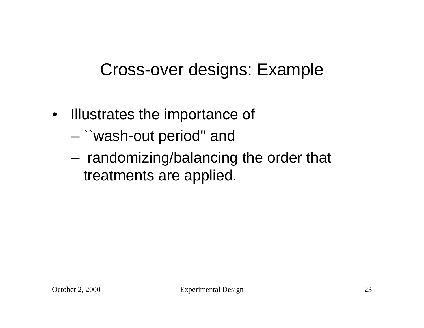## Cross-over designs: Example

- Illustrates the importance of
	- ``wash-out period'' and
	- randomizing/balancing the order that treatments are applied.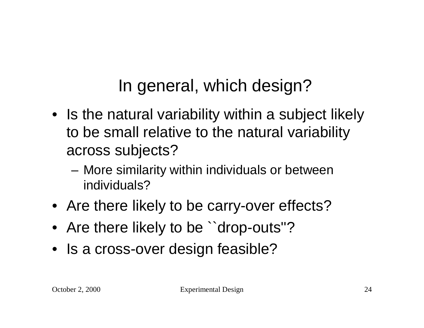In general, which design?

- Is the natural variability within a subject likely to be small relative to the natural variability across subjects?
	- More similarity within individuals or between individuals?
- Are there likely to be carry-over effects?
- Are there likely to be "drop-outs"?
- Is a cross-over design feasible?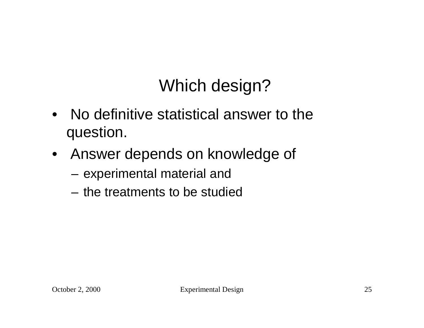# Which design?

- No definitive statistical answer to the question.
- Answer depends on knowledge of
	- experimental material and
	- the treatments to be studied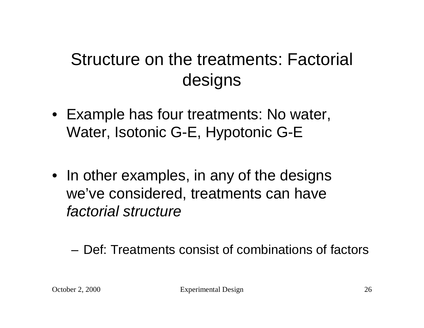# Structure on the treatments: Factorial designs

- Example has four treatments: No water, Water, Isotonic G-E, Hypotonic G-E
- In other examples, in any of the designs we've considered, treatments can have *factorial structure*

– Def: Treatments consist of combinations of factors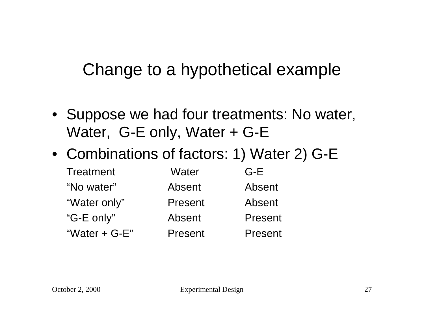#### Change to a hypothetical example

- Suppose we had four treatments: No water, Water, G-E only, Water + G-E
- Combinations of factors: 1) Water 2) G-E

| <b>Treatment</b> | Water   | $G-E$   |
|------------------|---------|---------|
| "No water"       | Absent  | Absent  |
| "Water only"     | Present | Absent  |
| "G-E only"       | Absent  | Present |
| "Water $+$ G-E"  | Present | Present |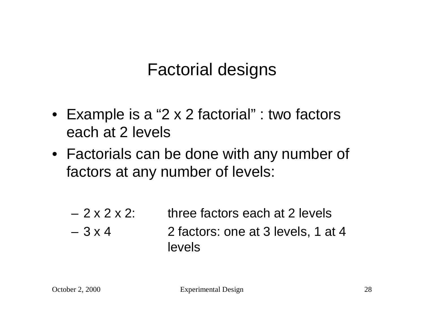### Factorial designs

- Example is a "2 x 2 factorial" : two factors each at 2 levels
- Factorials can be done with any number of factors at any number of levels:
	- $-2 \times 2 \times 2$ : three factors each at 2 levels  $-3 \times 4$  2 factors: one at 3 levels, 1 at 4 levels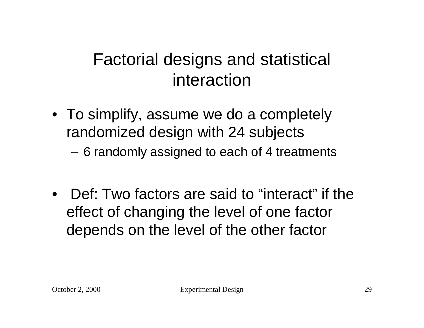#### Factorial designs and statistical interaction

- To simplify, assume we do a completely randomized design with 24 subjects
	- 6 randomly assigned to each of 4 treatments
- Def: Two factors are said to "interact" if the effect of changing the level of one factor depends on the level of the other factor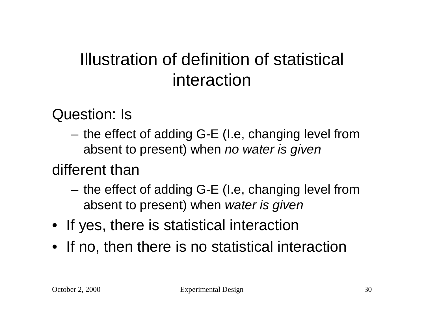## Illustration of definition of statistical interaction

Question: Is

– the effect of adding G-E (I.e, changing level from absent to present) when *no water is given*

#### different than

- the effect of adding G-E (I.e, changing level from absent to present) when *water is given*
- If yes, there is statistical interaction
- If no, then there is no statistical interaction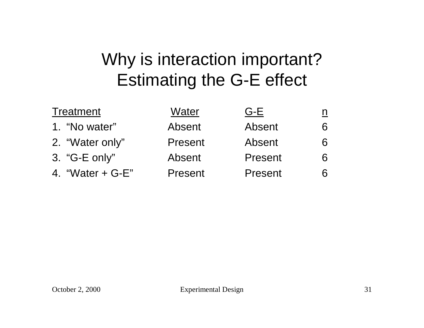# Why is interaction important? Estimating the G-E effect

| <b>Treatment</b>   | Water   | $G-E$   |   |
|--------------------|---------|---------|---|
| 1. "No water"      | Absent  | Absent  | 6 |
| 2. "Water only"    | Present | Absent  |   |
| 3. "G-E only"      | Absent  | Present |   |
| 4. "Water $+$ G-E" | Present | Present |   |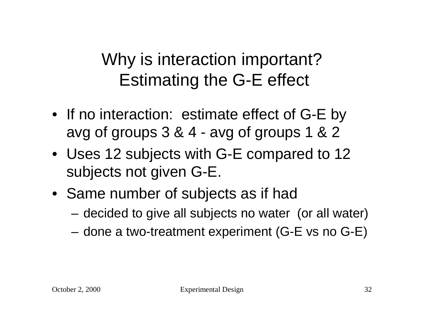# Why is interaction important? Estimating the G-E effect

- If no interaction: estimate effect of G-E by avg of groups 3 & 4 - avg of groups 1 & 2
- Uses 12 subjects with G-E compared to 12 subjects not given G-E.
- Same number of subjects as if had
	- decided to give all subjects no water (or all water)
	- done a two-treatment experiment (G-E vs no G-E)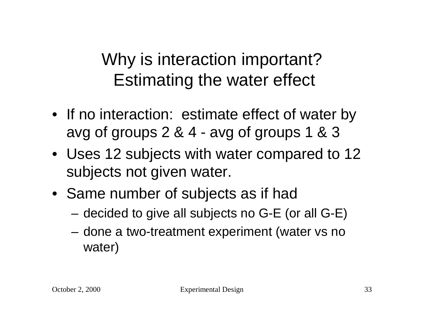# Why is interaction important? Estimating the water effect

- If no interaction: estimate effect of water by avg of groups 2 & 4 - avg of groups 1 & 3
- Uses 12 subjects with water compared to 12 subjects not given water.
- Same number of subjects as if had
	- decided to give all subjects no G-E (or all G-E)
	- done a two-treatment experiment (water vs no water)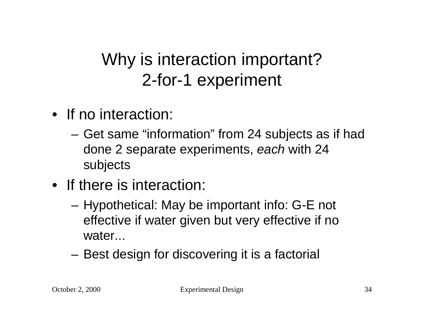# Why is interaction important? 2-for-1 experiment

- If no interaction:
	- Get same "information" from 24 subjects as if had done 2 separate experiments, *each* with 24 subjects
- If there is interaction:
	- Hypothetical: May be important info: G-E not effective if water given but very effective if no water...
	- Best design for discovering it is a factorial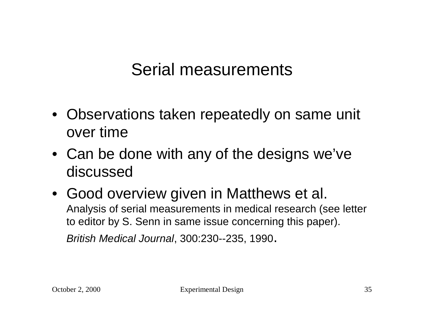#### Serial measurements

- Observations taken repeatedly on same unit over time
- Can be done with any of the designs we've discussed
- Good overview given in Matthews et al. Analysis of serial measurements in medical research (see letter to editor by S. Senn in same issue concerning this paper). *British Medical Journal*, 300:230--235, 1990.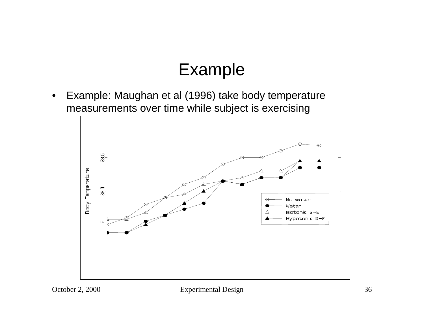#### Example

• Example: Maughan et al (1996) take body temperature measurements over time while subject is exercising



October 2, 2000 Experimental Design 36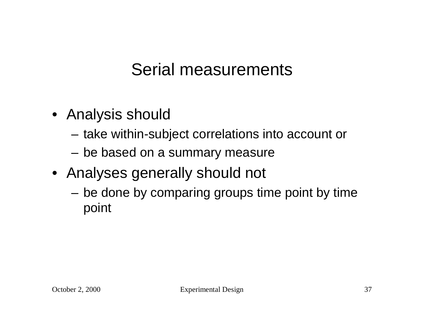### Serial measurements

- Analysis should
	- take within-subject correlations into account or
	- be based on a summary measure
- Analyses generally should not
	- be done by comparing groups time point by time point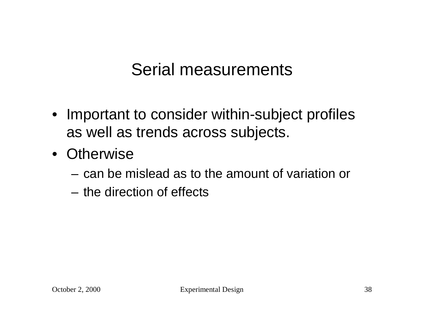#### Serial measurements

- Important to consider within-subject profiles as well as trends across subjects.
- Otherwise
	- can be mislead as to the amount of variation or
	- the direction of effects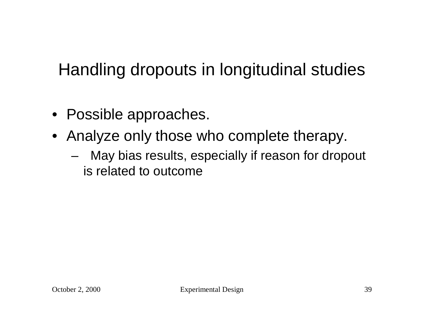# Handling dropouts in longitudinal studies

- Possible approaches.
- Analyze only those who complete therapy.
	- May bias results, especially if reason for dropout is related to outcome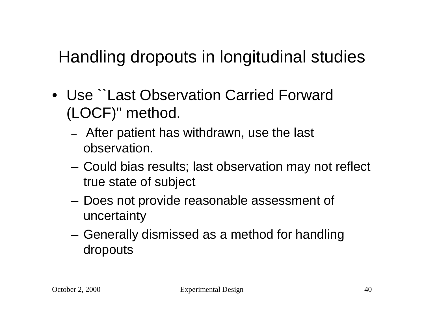# Handling dropouts in longitudinal studies

- Use ``Last Observation Carried Forward (LOCF)'' method.
	- After patient has withdrawn, use the last observation.
	- Could bias results; last observation may not reflect true state of subject
	- Does not provide reasonable assessment of uncertainty
	- Generally dismissed as a method for handling dropouts